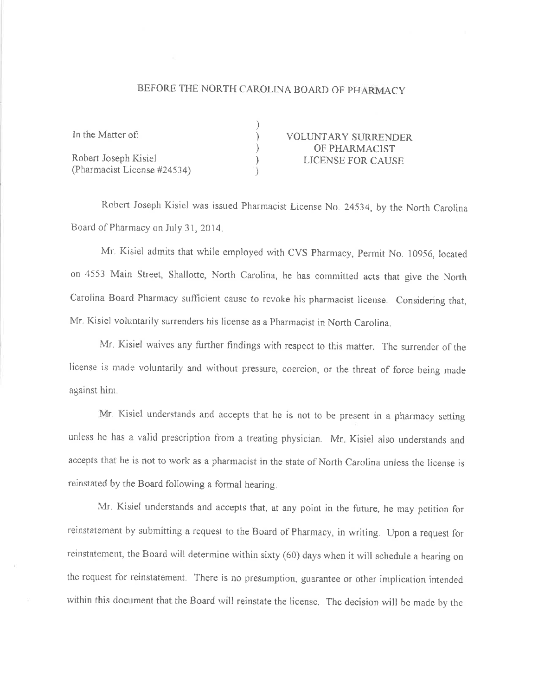## BEFORE THE NORTH CAROLINA BOARD OF PHARMACY

| In the Matter of:           | <b>VOLUNTARY SURRENDER</b> |
|-----------------------------|----------------------------|
|                             | OF PHARMACIST              |
| Robert Joseph Kisiel        | LICENSE FOR CAUSE          |
| (Pharmacist License #24534) |                            |

Robert Joseph Kisiel was issued Pharmacist License No. 24534, by the North Carolina Board of Pharmacy on July 31, 2014.

Mr. Kisiel admits that while employed with CVS Pharmacy, Permit No. 10956, located on 4553 Main Street, Shallotte, North Carolina, he has committed acts that give the North Carolina Board Pharmacy sufficient cause to revoke his pharmacist license. Considering that, Mr. Kisiel voluntarily surrenders his license as a Pharmacist in North Carolina.

Mr. Kisiel waives any further findings with respect to this matter. The surrender of the license is made voluntarily and without pressure, coercion, or the threat of force being made against him.

Mr. Kisiel understands and accepts that he is not to be present in a pharmacy setting unless he has a valid prescription from a treating physician. Mr. Kisiel also understands and accepts that he is not to work as a pharmacist in the state of North Carolina unless the license is reinstated by the Board following a formal hearing.

Mr. Kisiel understands and accepts that, at any point in the future, he may petition for reinstatement by submitting a request to the Board of Pharmacy, in writing. Upon a request for reinstatement, the Board will determine within sixty (60) days when it will schedule a hearing on the request for reinstatement. There is no presumption, guarantee or other implication intended within this document that the Board will reinstate the license. The decision will be made by the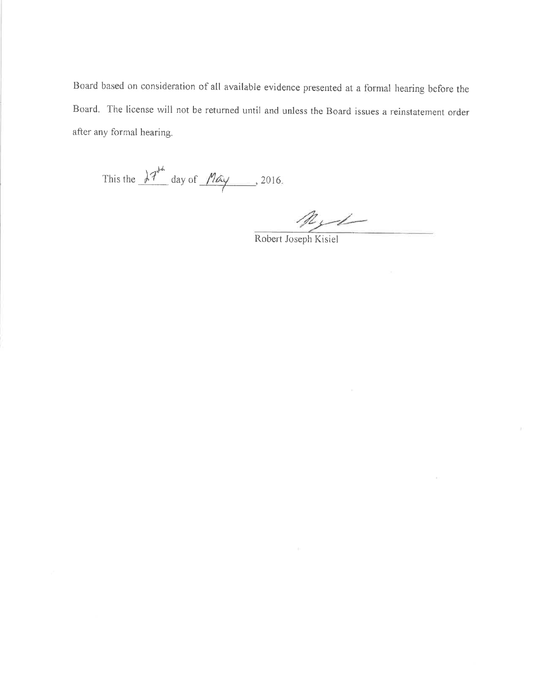Board based on consideration of all available evidence presented at a formal hearing before the Board. The license will not be returned until and unless the Board issues a reinstatement order after any formal hearing.

This the  $\lambda^{7}$  day of  $M$   $\alpha$  , 2016.

Reye

Robert Joseph Kisiel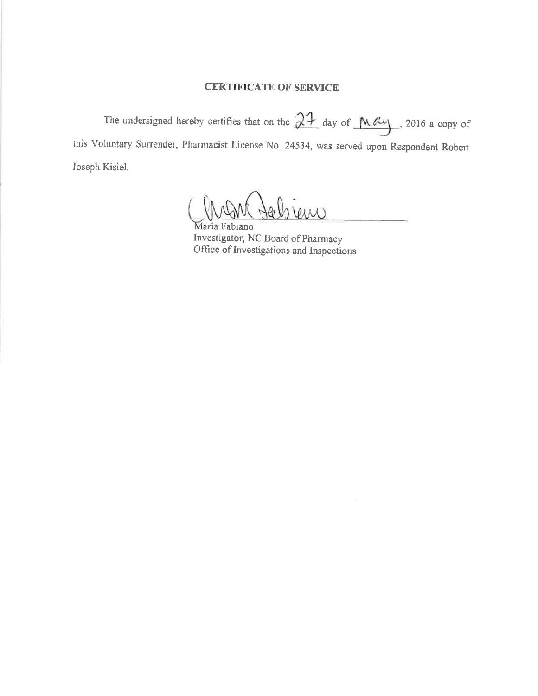## **CERTIFICATE OF SERVICE**

The undersigned hereby certifies that on the  $21$  day of  $\mu$ ay 1016 a copy of this Voluntary Surrender, Pharmacist License No. 24534, was served upon Respondent Robert Joseph Kisiel.

W

Maria Fabiano Investigator, NC Board of Pharmacy Office of Investigations and Inspections